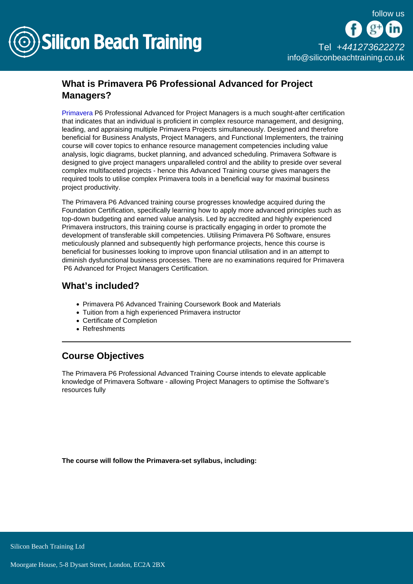

## What is Primavera P6 Professional Advanced for Project Managers?

[Primavera](/primavera-training) P6 Professional Advanced for Project Managers is a much sought-after certification that indicates that an individual is proficient in complex resource management, and designing, leading, and appraising multiple Primavera Projects simultaneously. Designed and therefore beneficial for Business Analysts, Project Managers, and Functional Implementers, the training course will cover topics to enhance resource management competencies including value analysis, logic diagrams, bucket planning, and advanced scheduling. Primavera Software is designed to give project managers unparalleled control and the ability to preside over several complex multifaceted projects - hence this Advanced Training course gives managers the required tools to utilise complex Primavera tools in a beneficial way for maximal business project productivity.

The Primavera P6 Advanced training course progresses knowledge acquired during the Foundation Certification, specifically learning how to apply more advanced principles such as top-down budgeting and earned value analysis. Led by accredited and highly experienced Primavera instructors, this training course is practically engaging in order to promote the development of transferable skill competencies. Utilising Primavera P6 Software, ensures meticulously planned and subsequently high performance projects, hence this course is beneficial for businesses looking to improve upon financial utilisation and in an attempt to diminish dysfunctional business processes. There are no examinations required for Primavera P6 Advanced for Project Managers Certification.

## What's included?

- Primavera P6 Advanced Training Coursework Book and Materials
- Tuition from a high experienced Primavera instructor
- Certificate of Completion
- Refreshments

## Course Objectives

The Primavera P6 Professional Advanced Training Course intends to elevate applicable knowledge of Primavera Software - allowing Project Managers to optimise the Software's resources fully

The course will follow the Primavera-set syllabus, including: